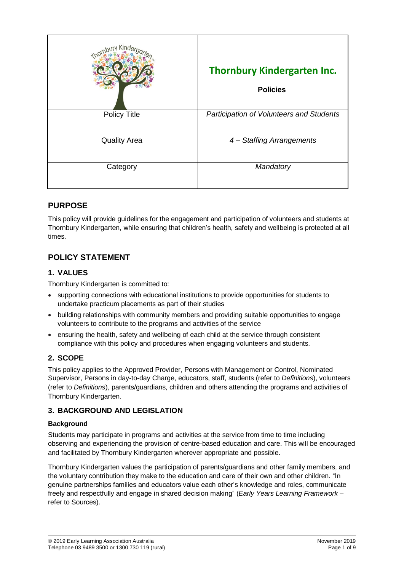|                     | <b>Thornbury Kindergarten Inc.</b><br><b>Policies</b> |
|---------------------|-------------------------------------------------------|
| <b>Policy Title</b> | <b>Participation of Volunteers and Students</b>       |
| <b>Quality Area</b> | 4 - Staffing Arrangements                             |
| Category            | Mandatory                                             |

# **PURPOSE**

This policy will provide guidelines for the engagement and participation of volunteers and students at Thornbury Kindergarten, while ensuring that children's health, safety and wellbeing is protected at all times.

# **POLICY STATEMENT**

## **1. VALUES**

Thornbury Kindergarten is committed to:

- supporting connections with educational institutions to provide opportunities for students to undertake practicum placements as part of their studies
- building relationships with community members and providing suitable opportunities to engage volunteers to contribute to the programs and activities of the service
- ensuring the health, safety and wellbeing of each child at the service through consistent compliance with this policy and procedures when engaging volunteers and students.

### **2. SCOPE**

This policy applies to the Approved Provider, Persons with Management or Control, Nominated Supervisor, Persons in day-to-day Charge, educators, staff, students (refer to *Definitions*), volunteers (refer to *Definitions*), parents/guardians, children and others attending the programs and activities of Thornbury Kindergarten.

### **3. BACKGROUND AND LEGISLATION**

#### **Background**

Students may participate in programs and activities at the service from time to time including observing and experiencing the provision of centre-based education and care. This will be encouraged and facilitated by Thornbury Kindergarten wherever appropriate and possible.

Thornbury Kindergarten values the participation of parents/guardians and other family members, and the voluntary contribution they make to the education and care of their own and other children. "In genuine partnerships families and educators value each other's knowledge and roles, communicate freely and respectfully and engage in shared decision making" (*Early Years Learning Framework –* refer to Sources).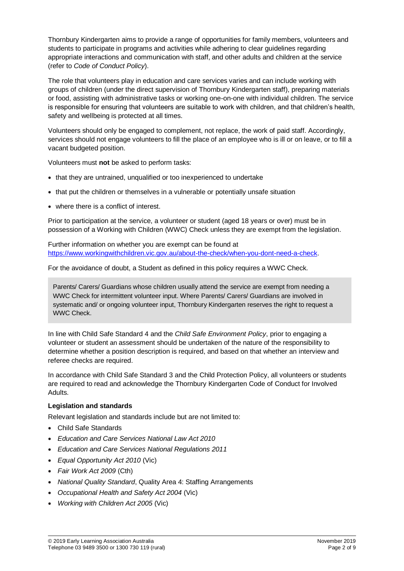Thornbury Kindergarten aims to provide a range of opportunities for family members, volunteers and students to participate in programs and activities while adhering to clear guidelines regarding appropriate interactions and communication with staff, and other adults and children at the service (refer to *Code of Conduct Policy*).

The role that volunteers play in education and care services varies and can include working with groups of children (under the direct supervision of Thornbury Kindergarten staff), preparing materials or food, assisting with administrative tasks or working one-on-one with individual children. The service is responsible for ensuring that volunteers are suitable to work with children, and that children's health, safety and wellbeing is protected at all times.

Volunteers should only be engaged to complement, not replace, the work of paid staff. Accordingly, services should not engage volunteers to fill the place of an employee who is ill or on leave, or to fill a vacant budgeted position.

Volunteers must **not** be asked to perform tasks:

- that they are untrained, unqualified or too inexperienced to undertake
- that put the children or themselves in a vulnerable or potentially unsafe situation
- where there is a conflict of interest.

Prior to participation at the service, a volunteer or student (aged 18 years or over) must be in possession of a Working with Children (WWC) Check unless they are exempt from the legislation.

Further information on whether you are exempt can be found at [https://www.workingwithchildren.vic.gov.au/about-the-check/when-you-dont-need-a-check.](https://www.workingwithchildren.vic.gov.au/about-the-check/when-you-dont-need-a-check)

For the avoidance of doubt, a Student as defined in this policy requires a WWC Check.

Parents/ Carers/ Guardians whose children usually attend the service are exempt from needing a WWC Check for intermittent volunteer input. Where Parents/ Carers/ Guardians are involved in systematic and/ or ongoing volunteer input, Thornbury Kindergarten reserves the right to request a WWC Check.

In line with Child Safe Standard 4 and the *Child Safe Environment Policy*, prior to engaging a volunteer or student an assessment should be undertaken of the nature of the responsibility to determine whether a position description is required, and based on that whether an interview and referee checks are required.

In accordance with Child Safe Standard 3 and the Child Protection Policy, all volunteers or students are required to read and acknowledge the Thornbury Kindergarten Code of Conduct for Involved Adults.

#### **Legislation and standards**

Relevant legislation and standards include but are not limited to:

- Child Safe Standards
- *Education and Care Services National Law Act 2010*
- *Education and Care Services National Regulations 2011*
- *Equal Opportunity Act 2010* (Vic)
- *Fair Work Act 2009* (Cth)
- *National Quality Standard*, Quality Area 4: Staffing Arrangements
- *Occupational Health and Safety Act 2004* (Vic)
- *Working with Children Act 2005* (Vic)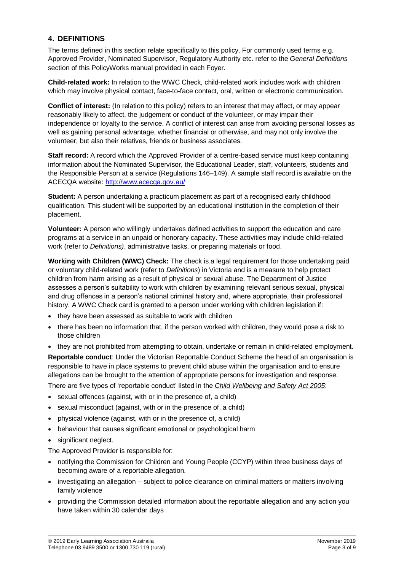### **4. DEFINITIONS**

The terms defined in this section relate specifically to this policy. For commonly used terms e.g. Approved Provider, Nominated Supervisor, Regulatory Authority etc. refer to the *General Definitions* section of this PolicyWorks manual provided in each Foyer.

**Child-related work:** In relation to the WWC Check, child-related work includes work with children which may involve physical contact, face-to-face contact, oral, written or electronic communication.

**Conflict of interest:** (In relation to this policy) refers to an interest that may affect, or may appear reasonably likely to affect, the judgement or conduct of the volunteer, or may impair their independence or loyalty to the service. A conflict of interest can arise from avoiding personal losses as well as gaining personal advantage, whether financial or otherwise, and may not only involve the volunteer, but also their relatives, friends or business associates.

**Staff record:** A record which the Approved Provider of a centre-based service must keep containing information about the Nominated Supervisor, the Educational Leader, staff, volunteers, students and the Responsible Person at a service (Regulations 146–149). A sample staff record is available on the ACECQA website:<http://www.acecqa.gov.au/>

**Student:** A person undertaking a practicum placement as part of a recognised early childhood qualification. This student will be supported by an educational institution in the completion of their placement.

**Volunteer:** A person who willingly undertakes defined activities to support the education and care programs at a service in an unpaid or honorary capacity. These activities may include child-related work (refer to *Definitions)*, administrative tasks, or preparing materials or food.

**Working with Children (WWC) Check:** The check is a legal requirement for those undertaking paid or voluntary child-related work (refer to *Definitions*) in Victoria and is a measure to help protect children from harm arising as a result of physical or sexual abuse. The Department of Justice assesses a person's suitability to work with children by examining relevant serious sexual, physical and drug offences in a person's national criminal history and, where appropriate, their professional history. A WWC Check card is granted to a person under working with children legislation if:

- they have been assessed as suitable to work with children
- there has been no information that, if the person worked with children, they would pose a risk to those children
- they are not prohibited from attempting to obtain, undertake or remain in child-related employment.

**Reportable conduct**: Under the Victorian Reportable Conduct Scheme the head of an organisation is responsible to have in place systems to prevent child abuse within the organisation and to ensure allegations can be brought to the attention of appropriate persons for investigation and response.

There are five types of 'reportable conduct' listed in the *Child Wellbeing and Safety Act 2005*:

- sexual offences (against, with or in the presence of, a child)
- sexual misconduct (against, with or in the presence of, a child)
- physical violence (against, with or in the presence of, a child)
- behaviour that causes significant emotional or psychological harm
- significant neglect.

The Approved Provider is responsible for:

- notifying the Commission for Children and Young People (CCYP) within three business days of becoming aware of a reportable allegation.
- $\bullet$  investigating an allegation subject to police clearance on criminal matters or matters involving family violence
- providing the Commission detailed information about the reportable allegation and any action you have taken within 30 calendar days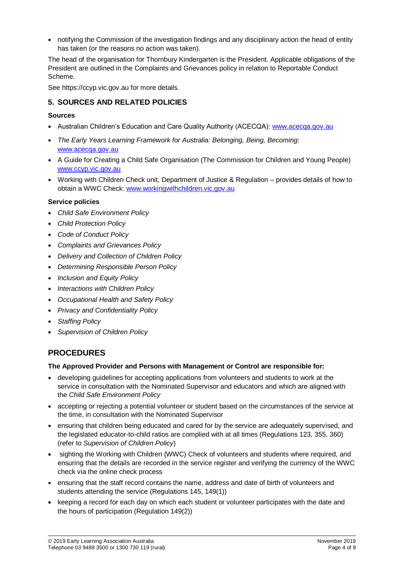notifying the Commission of the investigation findings and any disciplinary action the head of entity has taken (or the reasons no action was taken).

The head of the organisation for Thornbury Kindergarten is the President. Applicable obligations of the President are outlined in the Complaints and Grievances policy in relation to Reportable Conduct Scheme.

See [https://ccyp.vic.gov.au](https://ccyp.vic.gov.au/) for more details.

### **5. SOURCES AND RELATED POLICIES**

#### **Sources**

- Australian Children's Education and Care Quality Authority (ACECQA): [www.acecqa.gov.au](http://www.acecqa.gov.au/)
- *The Early Years Learning Framework for Australia: Belonging, Being, Becoming*: [www.acecqa.gov.au](file://///kpv-sbs/data/BD&G/Communications/Publications/Policy%20Works/2017%20Final%20PolicyWorks/www.acecqa.gov.au)
- A Guide for Creating a Child Safe Organisation (The Commission for Children and Young People) [www.ccyp.vic.gov.au](file://///kpv-sbs/data/BD&G/Communications/Publications/Policy%20Works/2017%20Final%20PolicyWorks/www.ccyp.vic.gov.au)
- Working with Children Check unit, Department of Justice & Regulation provides details of how to obtain a WWC Check: [www.workingwithchildren.vic.gov.au](file://///kpv-sbs/data/BD&G/Communications/Publications/Policy%20Works/2017%20Final%20PolicyWorks/www.workingwithchildren.vic.gov.au)

#### **Service policies**

- *Child Safe Environment Policy*
- *Child Protection Policy*
- *Code of Conduct Policy*
- *Complaints and Grievances Policy*
- *Delivery and Collection of Children Policy*
- *Determining Responsible Person Policy*
- *Inclusion and Equity Policy*
- *Interactions with Children Policy*
- *Occupational Health and Safety Policy*
- *Privacy and Confidentiality Policy*
- *Staffing Policy*
- *Supervision of Children Policy*

# **PROCEDURES**

#### **The Approved Provider and Persons with Management or Control are responsible for:**

- developing guidelines for accepting applications from volunteers and students to work at the service in consultation with the Nominated Supervisor and educators and which are aligned with the *Child Safe Environment Policy*
- accepting or rejecting a potential volunteer or student based on the circumstances of the service at the time, in consultation with the Nominated Supervisor
- ensuring that children being educated and cared for by the service are adequately supervised, and the legislated educator-to-child ratios are complied with at all times (Regulations 123, 355, 360) (refer to *Supervision of Children Policy*)
- sighting the Working with Children (WWC) Check of volunteers and students where required, and ensuring that the details are recorded in the service register and verifying the currency of the WWC check via the online check process
- ensuring that the staff record contains the name, address and date of birth of volunteers and students attending the service (Regulations 145, 149(1))
- keeping a record for each day on which each student or volunteer participates with the date and the hours of participation (Regulation 149(2))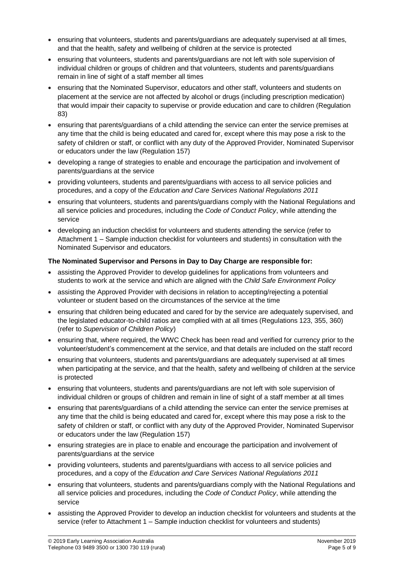- ensuring that volunteers, students and parents/guardians are adequately supervised at all times, and that the health, safety and wellbeing of children at the service is protected
- ensuring that volunteers, students and parents/guardians are not left with sole supervision of individual children or groups of children and that volunteers, students and parents/guardians remain in line of sight of a staff member all times
- ensuring that the Nominated Supervisor, educators and other staff, volunteers and students on placement at the service are not affected by alcohol or drugs (including prescription medication) that would impair their capacity to supervise or provide education and care to children (Regulation 83)
- ensuring that parents/guardians of a child attending the service can enter the service premises at any time that the child is being educated and cared for, except where this may pose a risk to the safety of children or staff, or conflict with any duty of the Approved Provider, Nominated Supervisor or educators under the law (Regulation 157)
- developing a range of strategies to enable and encourage the participation and involvement of parents/guardians at the service
- providing volunteers, students and parents/guardians with access to all service policies and procedures, and a copy of the *Education and Care Services National Regulations 2011*
- ensuring that volunteers, students and parents/guardians comply with the National Regulations and all service policies and procedures, including the *Code of Conduct Policy*, while attending the service
- developing an induction checklist for volunteers and students attending the service (refer to Attachment 1 – Sample induction checklist for volunteers and students) in consultation with the Nominated Supervisor and educators.

### **The Nominated Supervisor and Persons in Day to Day Charge are responsible for:**

- assisting the Approved Provider to develop guidelines for applications from volunteers and students to work at the service and which are aligned with the *Child Safe Environment Policy*
- assisting the Approved Provider with decisions in relation to accepting/rejecting a potential volunteer or student based on the circumstances of the service at the time
- ensuring that children being educated and cared for by the service are adequately supervised, and the legislated educator-to-child ratios are complied with at all times (Regulations 123, 355, 360) (refer to *Supervision of Children Policy*)
- ensuring that, where required, the WWC Check has been read and verified for currency prior to the volunteer/student's commencement at the service, and that details are included on the staff record
- ensuring that volunteers, students and parents/guardians are adequately supervised at all times when participating at the service, and that the health, safety and wellbeing of children at the service is protected
- ensuring that volunteers, students and parents/guardians are not left with sole supervision of individual children or groups of children and remain in line of sight of a staff member at all times
- ensuring that parents/guardians of a child attending the service can enter the service premises at any time that the child is being educated and cared for, except where this may pose a risk to the safety of children or staff, or conflict with any duty of the Approved Provider, Nominated Supervisor or educators under the law (Regulation 157)
- ensuring strategies are in place to enable and encourage the participation and involvement of parents/guardians at the service
- providing volunteers, students and parents/guardians with access to all service policies and procedures, and a copy of the *Education and Care Services National Regulations 2011*
- ensuring that volunteers, students and parents/guardians comply with the National Regulations and all service policies and procedures, including the *Code of Conduct Policy*, while attending the service
- assisting the Approved Provider to develop an induction checklist for volunteers and students at the service (refer to Attachment 1 – Sample induction checklist for volunteers and students)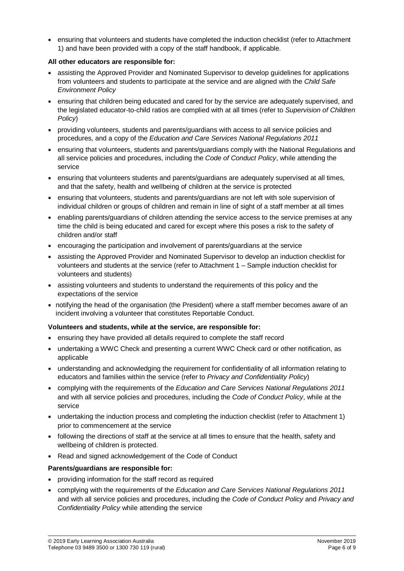ensuring that volunteers and students have completed the induction checklist (refer to Attachment 1) and have been provided with a copy of the staff handbook, if applicable.

#### **All other educators are responsible for:**

- assisting the Approved Provider and Nominated Supervisor to develop guidelines for applications from volunteers and students to participate at the service and are aligned with the *Child Safe Environment Policy*
- ensuring that children being educated and cared for by the service are adequately supervised, and the legislated educator-to-child ratios are complied with at all times (refer to *Supervision of Children Policy*)
- providing volunteers, students and parents/guardians with access to all service policies and procedures, and a copy of the *Education and Care Services National Regulations 2011*
- ensuring that volunteers, students and parents/guardians comply with the National Regulations and all service policies and procedures, including the *Code of Conduct Policy*, while attending the service
- ensuring that volunteers students and parents/guardians are adequately supervised at all times, and that the safety, health and wellbeing of children at the service is protected
- ensuring that volunteers, students and parents/guardians are not left with sole supervision of individual children or groups of children and remain in line of sight of a staff member at all times
- enabling parents/guardians of children attending the service access to the service premises at any time the child is being educated and cared for except where this poses a risk to the safety of children and/or staff
- encouraging the participation and involvement of parents/guardians at the service
- assisting the Approved Provider and Nominated Supervisor to develop an induction checklist for volunteers and students at the service (refer to Attachment 1 – Sample induction checklist for volunteers and students)
- assisting volunteers and students to understand the requirements of this policy and the expectations of the service
- notifying the head of the organisation (the President) where a staff member becomes aware of an incident involving a volunteer that constitutes Reportable Conduct.

#### **Volunteers and students, while at the service, are responsible for:**

- ensuring they have provided all details required to complete the staff record
- undertaking a WWC Check and presenting a current WWC Check card or other notification, as applicable
- understanding and acknowledging the requirement for confidentiality of all information relating to educators and families within the service (refer to *Privacy and Confidentiality Policy*)
- complying with the requirements of the *Education and Care Services National Regulations 2011* and with all service policies and procedures, including the *Code of Conduct Policy*, while at the service
- undertaking the induction process and completing the induction checklist (refer to Attachment 1) prior to commencement at the service
- following the directions of staff at the service at all times to ensure that the health, safety and wellbeing of children is protected.
- Read and signed acknowledgement of the Code of Conduct

#### **Parents/guardians are responsible for:**

- providing information for the staff record as required
- complying with the requirements of the *Education and Care Services National Regulations 2011* and with all service policies and procedures, including the *Code of Conduct Policy* and *Privacy and Confidentiality Policy* while attending the service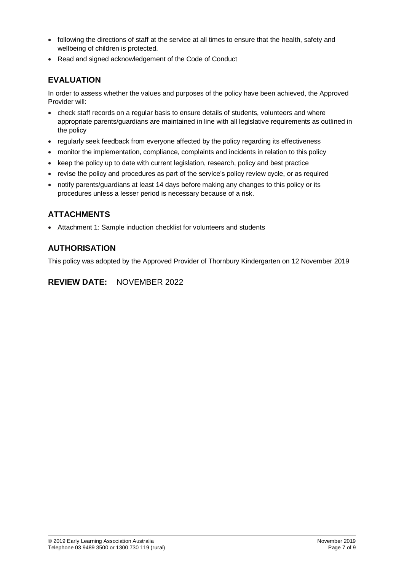- following the directions of staff at the service at all times to ensure that the health, safety and wellbeing of children is protected.
- Read and signed acknowledgement of the Code of Conduct

## **EVALUATION**

In order to assess whether the values and purposes of the policy have been achieved, the Approved Provider will:

- check staff records on a regular basis to ensure details of students, volunteers and where appropriate parents/guardians are maintained in line with all legislative requirements as outlined in the policy
- regularly seek feedback from everyone affected by the policy regarding its effectiveness
- monitor the implementation, compliance, complaints and incidents in relation to this policy
- keep the policy up to date with current legislation, research, policy and best practice
- revise the policy and procedures as part of the service's policy review cycle, or as required
- notify parents/guardians at least 14 days before making any changes to this policy or its procedures unless a lesser period is necessary because of a risk.

## **ATTACHMENTS**

Attachment 1: Sample induction checklist for volunteers and students

# **AUTHORISATION**

This policy was adopted by the Approved Provider of Thornbury Kindergarten on 12 November 2019

## **REVIEW DATE:** NOVEMBER 2022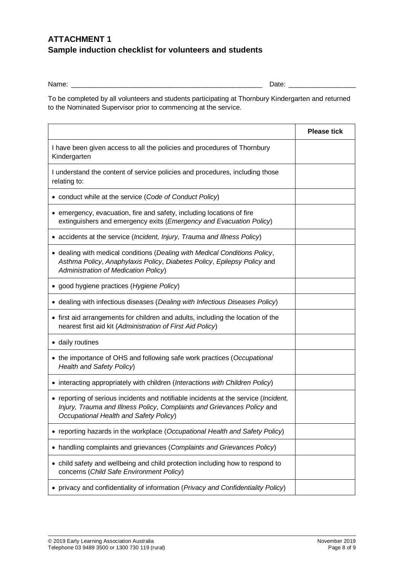# **ATTACHMENT 1 Sample induction checklist for volunteers and students**

Name: \_\_\_\_\_\_\_\_\_\_\_\_\_\_\_\_\_\_\_\_\_\_\_\_\_\_\_\_\_\_\_\_\_\_\_\_\_\_\_\_\_\_\_\_\_\_\_\_\_\_\_ Date: \_\_\_\_\_\_\_\_\_\_\_\_\_\_\_\_\_\_

To be completed by all volunteers and students participating at Thornbury Kindergarten and returned to the Nominated Supervisor prior to commencing at the service.

|                                                                                                                                                                                                          | <b>Please tick</b> |
|----------------------------------------------------------------------------------------------------------------------------------------------------------------------------------------------------------|--------------------|
| I have been given access to all the policies and procedures of Thornbury<br>Kindergarten                                                                                                                 |                    |
| I understand the content of service policies and procedures, including those<br>relating to:                                                                                                             |                    |
| • conduct while at the service (Code of Conduct Policy)                                                                                                                                                  |                    |
| • emergency, evacuation, fire and safety, including locations of fire<br>extinguishers and emergency exits (Emergency and Evacuation Policy)                                                             |                    |
| • accidents at the service (Incident, Injury, Trauma and Illness Policy)                                                                                                                                 |                    |
| • dealing with medical conditions (Dealing with Medical Conditions Policy,<br>Asthma Policy, Anaphylaxis Policy, Diabetes Policy, Epilepsy Policy and<br>Administration of Medication Policy)            |                    |
| • good hygiene practices (Hygiene Policy)                                                                                                                                                                |                    |
| • dealing with infectious diseases (Dealing with Infectious Diseases Policy)                                                                                                                             |                    |
| • first aid arrangements for children and adults, including the location of the<br>nearest first aid kit (Administration of First Aid Policy)                                                            |                    |
| • daily routines                                                                                                                                                                                         |                    |
| • the importance of OHS and following safe work practices (Occupational<br>Health and Safety Policy)                                                                                                     |                    |
| • interacting appropriately with children (Interactions with Children Policy)                                                                                                                            |                    |
| • reporting of serious incidents and notifiable incidents at the service (Incident,<br>Injury, Trauma and Illness Policy, Complaints and Grievances Policy and<br>Occupational Health and Safety Policy) |                    |
| • reporting hazards in the workplace (Occupational Health and Safety Policy)                                                                                                                             |                    |
| handling complaints and grievances (Complaints and Grievances Policy)<br>$\bullet$                                                                                                                       |                    |
| • child safety and wellbeing and child protection including how to respond to<br>concerns (Child Safe Environment Policy)                                                                                |                    |
| privacy and confidentiality of information (Privacy and Confidentiality Policy)                                                                                                                          |                    |